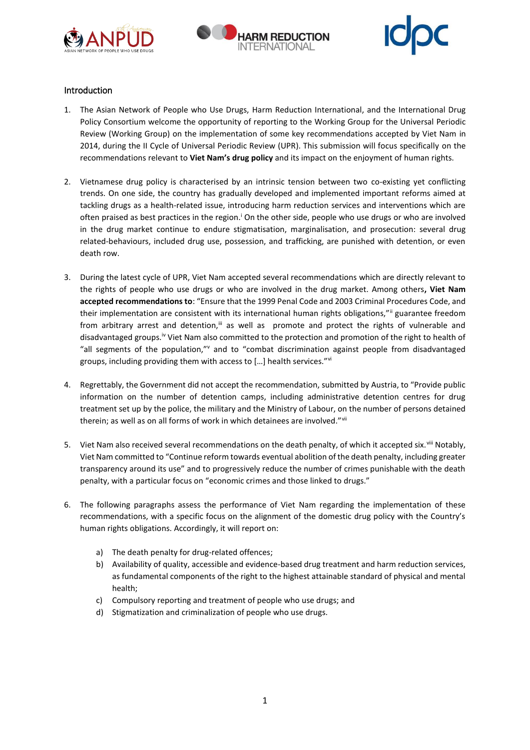





# Introduction

- 1. The Asian Network of People who Use Drugs, Harm Reduction International, and the International Drug Policy Consortium welcome the opportunity of reporting to the Working Group for the Universal Periodic Review (Working Group) on the implementation of some key recommendations accepted by Viet Nam in 2014, during the II Cycle of Universal Periodic Review (UPR). This submission will focus specifically on the recommendations relevant to **Viet Nam's drug policy** and its impact on the enjoyment of human rights.
- 2. Vietnamese drug policy is characterised by an intrinsic tension between two co-existing yet conflicting trends. On one side, the country has gradually developed and implemented important reforms aimed at tackling drugs as a health-related issue, introducing harm reduction services and interventions which are often praised as best practices in the region.<sup>1</sup> On the other side, people who use drugs or who are involved in the drug market continue to endure stigmatisation, marginalisation, and prosecution: several drug related-behaviours, included drug use, possession, and trafficking, are punished with detention, or even death row.
- 3. During the latest cycle of UPR, Viet Nam accepted several recommendations which are directly relevant to the rights of people who use drugs or who are involved in the drug market. Among others**, Viet Nam accepted recommendations to**: "Ensure that the 1999 Penal Code and 2003 Criminal Procedures Code, and their implementation are consistent with its international human rights obligations,"" guarantee freedom from arbitrary arrest and detention, $\mathbf{u}$  as well as promote and protect the rights of vulnerable and disadvantaged groups.iv Viet Nam also committed to the protection and promotion of the right to health of "all segments of the population," $v$  and to "combat discrimination against people from disadvantaged groups, including providing them with access to […] health services."vi
- 4. Regrettably, the Government did not accept the recommendation, submitted by Austria, to "Provide public information on the number of detention camps, including administrative detention centres for drug treatment set up by the police, the military and the Ministry of Labour, on the number of persons detained therein; as well as on all forms of work in which detainees are involved."Vill
- 5. Viet Nam also received several recommendations on the death penalty, of which it accepted six.<sup>viii</sup> Notably, Viet Nam committed to "Continue reform towards eventual abolition of the death penalty, including greater transparency around its use" and to progressively reduce the number of crimes punishable with the death penalty, with a particular focus on "economic crimes and those linked to drugs."
- 6. The following paragraphs assess the performance of Viet Nam regarding the implementation of these recommendations, with a specific focus on the alignment of the domestic drug policy with the Country's human rights obligations. Accordingly, it will report on:
	- a) The death penalty for drug-related offences;
	- b) Availability of quality, accessible and evidence-based drug treatment and harm reduction services, as fundamental components of the right to the highest attainable standard of physical and mental health;
	- c) Compulsory reporting and treatment of people who use drugs; and
	- d) Stigmatization and criminalization of people who use drugs.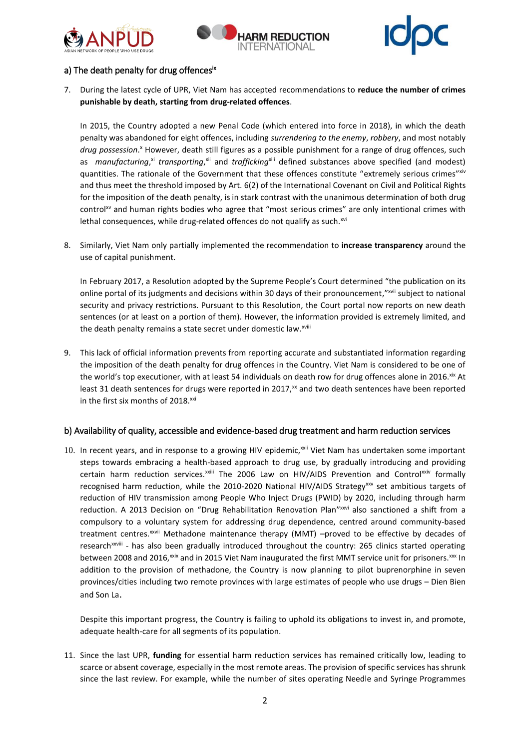





# a) The death penalty for drug offencesix

7. During the latest cycle of UPR, Viet Nam has accepted recommendations to **reduce the number of crimes punishable by death, starting from drug-related offences**.

In 2015, the Country adopted a new Penal Code (which entered into force in 2018), in which the death penalty was abandoned for eight offences, including *surrendering to the enemy*, *robbery*, and most notably drug possession.<sup>x</sup> However, death still figures as a possible punishment for a range of drug offences, such as manufacturing,<sup>xi</sup> transporting, xii and trafficking<sup>xiii</sup> defined substances above specified (and modest) quantities. The rationale of the Government that these offences constitute "extremely serious crimes" xiv and thus meet the threshold imposed by Art. 6(2) of the International Covenant on Civil and Political Rights for the imposition of the death penalty, is in stark contrast with the unanimous determination of both drug control<sup>xv</sup> and human rights bodies who agree that "most serious crimes" are only intentional crimes with lethal consequences, while drug-related offences do not qualify as such.<sup>xvi</sup>

8. Similarly, Viet Nam only partially implemented the recommendation to **increase transparency** around the use of capital punishment.

In February 2017, a Resolution adopted by the Supreme People's Court determined "the publication on its online portal of its judgments and decisions within 30 days of their pronouncement,"<sup>xvii</sup> subject to national security and privacy restrictions. Pursuant to this Resolution, the Court portal now reports on new death sentences (or at least on a portion of them). However, the information provided is extremely limited, and the death penalty remains a state secret under domestic law.xviii

9. This lack of official information prevents from reporting accurate and substantiated information regarding the imposition of the death penalty for drug offences in the Country. Viet Nam is considered to be one of the world's top executioner, with at least 54 individuals on death row for drug offences alone in 2016.<sup>xix</sup> At least 31 death sentences for drugs were reported in 2017, $<sup>x</sup>$  and two death sentences have been reported</sup> in the first six months of 2018.<sup>xxi</sup>

### b) Availability of quality, accessible and evidence-based drug treatment and harm reduction services

10. In recent years, and in response to a growing HIV epidemic,<sup>xxii</sup> Viet Nam has undertaken some important steps towards embracing a health-based approach to drug use, by gradually introducing and providing certain harm reduction services.<sup>xxiii</sup> The 2006 Law on HIV/AIDS Prevention and Control<sup>xxiv</sup> formally recognised harm reduction, while the 2010-2020 National HIV/AIDS Strategy<sup>xxv</sup> set ambitious targets of reduction of HIV transmission among People Who Inject Drugs (PWID) by 2020, including through harm reduction. A 2013 Decision on "Drug Rehabilitation Renovation Plan"xxvi also sanctioned a shift from a compulsory to a voluntary system for addressing drug dependence, centred around community-based treatment centres.<sup>xxvii</sup> Methadone maintenance therapy (MMT) -proved to be effective by decades of research<sup>xxviii</sup> - has also been gradually introduced throughout the country: 265 clinics started operating between 2008 and 2016, xxix and in 2015 Viet Nam inaugurated the first MMT service unit for prisoners. xxx In addition to the provision of methadone, the Country is now planning to pilot buprenorphine in seven provinces/cities including two remote provinces with large estimates of people who use drugs – Dien Bien and Son La.

Despite this important progress, the Country is failing to uphold its obligations to invest in, and promote, adequate health-care for all segments of its population.

11. Since the last UPR, **funding** for essential harm reduction services has remained critically low, leading to scarce or absent coverage, especially in the most remote areas. The provision of specific services has shrunk since the last review. For example, while the number of sites operating Needle and Syringe Programmes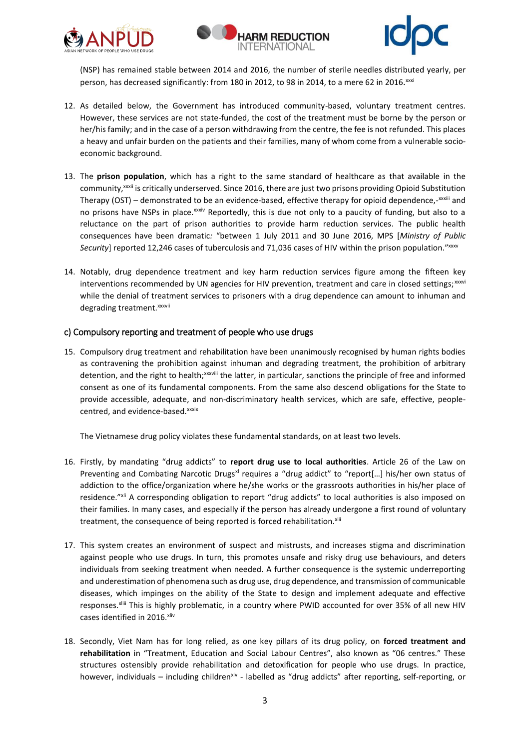





(NSP) has remained stable between 2014 and 2016, the number of sterile needles distributed yearly, per person, has decreased significantly: from 180 in 2012, to 98 in 2014, to a mere 62 in 2016.<sup>xxxi</sup>

- 12. As detailed below, the Government has introduced community-based, voluntary treatment centres. However, these services are not state-funded, the cost of the treatment must be borne by the person or her/his family; and in the case of a person withdrawing from the centre, the fee is not refunded. This places a heavy and unfair burden on the patients and their families, many of whom come from a vulnerable socioeconomic background.
- 13. The **prison population**, which has a right to the same standard of healthcare as that available in the community,<sup>xxxii</sup> is critically underserved. Since 2016, there are just two prisons providing Opioid Substitution Therapy (OST) – demonstrated to be an evidence-based, effective therapy for opioid dependence,-<sup>xxxiii</sup> and no prisons have NSPs in place.<sup>xxiv</sup> Reportedly, this is due not only to a paucity of funding, but also to a reluctance on the part of prison authorities to provide harm reduction services. The public health consequences have been dramatic*:* "between 1 July 2011 and 30 June 2016, MPS [*Ministry of Public*  Security] reported 12,246 cases of tuberculosis and 71,036 cases of HIV within the prison population."xxxv
- 14. Notably, drug dependence treatment and key harm reduction services figure among the fifteen key interventions recommended by UN agencies for HIV prevention, treatment and care in closed settings;  $x_{\text{avv}}$ while the denial of treatment services to prisoners with a drug dependence can amount to inhuman and degrading treatment.<sup>xxxvii</sup>

### c) Compulsory reporting and treatment of people who use drugs

15. Compulsory drug treatment and rehabilitation have been unanimously recognised by human rights bodies as contravening the prohibition against inhuman and degrading treatment, the prohibition of arbitrary detention, and the right to health;<sup>xxxviii</sup> the latter, in particular, sanctions the principle of free and informed consent as one of its fundamental components. From the same also descend obligations for the State to provide accessible, adequate, and non-discriminatory health services, which are safe, effective, peoplecentred, and evidence-based.xxxix

The Vietnamese drug policy violates these fundamental standards, on at least two levels.

- 16. Firstly, by mandating "drug addicts" to **report drug use to local authorities**. Article 26 of the Law on Preventing and Combating Narcotic Drugs<sup>xi</sup> requires a "drug addict" to "report[...] his/her own status of addiction to the office/organization where he/she works or the grassroots authorities in his/her place of residence."<sup>xli</sup> A corresponding obligation to report "drug addicts" to local authorities is also imposed on their families. In many cases, and especially if the person has already undergone a first round of voluntary treatment, the consequence of being reported is forced rehabilitation.<sup>xlii</sup>
- 17. This system creates an environment of suspect and mistrusts, and increases stigma and discrimination against people who use drugs. In turn, this promotes unsafe and risky drug use behaviours, and deters individuals from seeking treatment when needed. A further consequence is the systemic underreporting and underestimation of phenomena such as drug use, drug dependence, and transmission of communicable diseases, which impinges on the ability of the State to design and implement adequate and effective responses. xliii This is highly problematic, in a country where PWID accounted for over 35% of all new HIV cases identified in 2016.xliv
- 18. Secondly, Viet Nam has for long relied, as one key pillars of its drug policy, on **forced treatment and rehabilitation** in "Treatment, Education and Social Labour Centres", also known as "06 centres." These structures ostensibly provide rehabilitation and detoxification for people who use drugs. In practice, however, individuals - including children<sup>xlv</sup> - labelled as "drug addicts" after reporting, self-reporting, or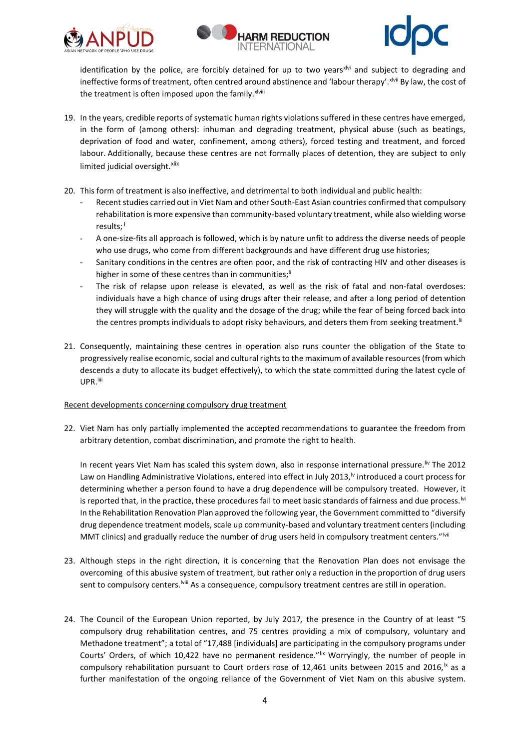





identification by the police, are forcibly detained for up to two years<sup>xlvi</sup> and subject to degrading and ineffective forms of treatment, often centred around abstinence and 'labour therapy'. Xivii By law, the cost of the treatment is often imposed upon the family. xlviii

- 19. In the years, credible reports of systematic human rights violations suffered in these centres have emerged, in the form of (among others): inhuman and degrading treatment, physical abuse (such as beatings, deprivation of food and water, confinement, among others), forced testing and treatment, and forced labour. Additionally, because these centres are not formally places of detention, they are subject to only limited judicial oversight. xlix
- 20. This form of treatment is also ineffective, and detrimental to both individual and public health:
	- Recent studies carried out in Viet Nam and other South-East Asian countries confirmed that compulsory rehabilitation is more expensive than community-based voluntary treatment, while also wielding worse results;<sup>1</sup>
	- A one-size-fits all approach is followed, which is by nature unfit to address the diverse needs of people who use drugs, who come from different backgrounds and have different drug use histories;
	- Sanitary conditions in the centres are often poor, and the risk of contracting HIV and other diseases is higher in some of these centres than in communities;<sup>li</sup>
	- The risk of relapse upon release is elevated, as well as the risk of fatal and non-fatal overdoses: individuals have a high chance of using drugs after their release, and after a long period of detention they will struggle with the quality and the dosage of the drug; while the fear of being forced back into the centres prompts individuals to adopt risky behaviours, and deters them from seeking treatment.<sup>III</sup>
- 21. Consequently, maintaining these centres in operation also runs counter the obligation of the State to progressively realise economic, social and cultural rights to the maximum of available resources (from which descends a duty to allocate its budget effectively), to which the state committed during the latest cycle of UPR.<sup>liii</sup>

### Recent developments concerning compulsory drug treatment

22. Viet Nam has only partially implemented the accepted recommendations to guarantee the freedom from arbitrary detention, combat discrimination, and promote the right to health.

In recent years Viet Nam has scaled this system down, also in response international pressure.<sup>liv</sup> The 2012 Law on Handling Administrative Violations, entered into effect in July 2013,<sup>1</sup> introduced a court process for determining whether a person found to have a drug dependence will be compulsory treated. However, it is reported that, in the practice, these procedures fail to meet basic standards of fairness and due process.<sup>Ivi</sup> In the Rehabilitation Renovation Plan approved the following year, the Government committed to "diversify drug dependence treatment models, scale up community-based and voluntary treatment centers (including MMT clinics) and gradually reduce the number of drug users held in compulsory treatment centers."<sup>Ivii</sup>

- 23. Although steps in the right direction, it is concerning that the Renovation Plan does not envisage the overcoming of this abusive system of treatment, but rather only a reduction in the proportion of drug users sent to compulsory centers.<sup>Iviii</sup> As a consequence, compulsory treatment centres are still in operation.
- 24. The Council of the European Union reported, by July 2017*,* the presence in the Country of at least "5 compulsory drug rehabilitation centres, and 75 centres providing a mix of compulsory, voluntary and Methadone treatment"; a total of "17,488 [individuals] are participating in the compulsory programs under Courts' Orders, of which 10,422 have no permanent residence." Ix Worryingly, the number of people in compulsory rehabilitation pursuant to Court orders rose of 12,461 units between 2015 and 2016,<sup>1x</sup> as a further manifestation of the ongoing reliance of the Government of Viet Nam on this abusive system.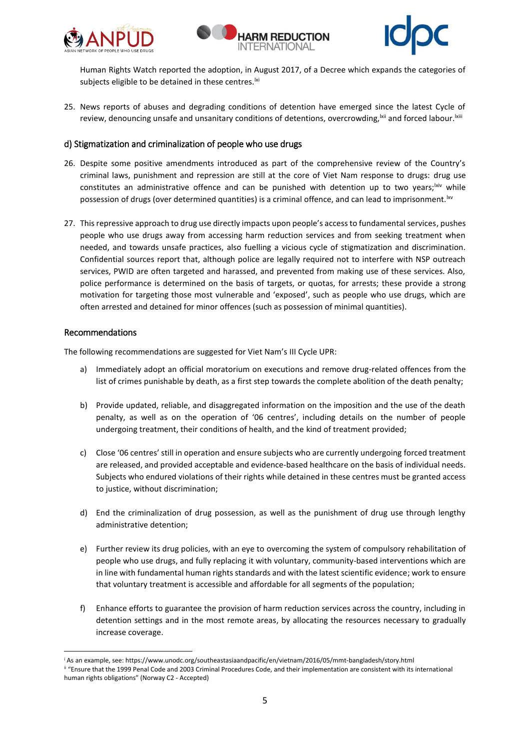





Human Rights Watch reported the adoption, in August 2017, of a Decree which expands the categories of subjects eligible to be detained in these centres.<sup>|xi</sup>

25. News reports of abuses and degrading conditions of detention have emerged since the latest Cycle of review, denouncing unsafe and unsanitary conditions of detentions, overcrowding, xii and forced labour. Ixiii

## d) Stigmatization and criminalization of people who use drugs

- 26. Despite some positive amendments introduced as part of the comprehensive review of the Country's criminal laws, punishment and repression are still at the core of Viet Nam response to drugs: drug use constitutes an administrative offence and can be punished with detention up to two years;  $\frac{div}{dx}$  while possession of drugs (over determined quantities) is a criminal offence, and can lead to imprisonment.<sup>lxv</sup>
- 27. This repressive approach to drug use directly impacts upon people's access to fundamental services, pushes people who use drugs away from accessing harm reduction services and from seeking treatment when needed, and towards unsafe practices, also fuelling a vicious cycle of stigmatization and discrimination. Confidential sources report that, although police are legally required not to interfere with NSP outreach services, PWID are often targeted and harassed, and prevented from making use of these services. Also, police performance is determined on the basis of targets, or quotas, for arrests; these provide a strong motivation for targeting those most vulnerable and 'exposed', such as people who use drugs, which are often arrested and detained for minor offences (such as possession of minimal quantities).

#### Recommendations

1

The following recommendations are suggested for Viet Nam's III Cycle UPR:

- a) Immediately adopt an official moratorium on executions and remove drug-related offences from the list of crimes punishable by death, as a first step towards the complete abolition of the death penalty;
- b) Provide updated, reliable, and disaggregated information on the imposition and the use of the death penalty, as well as on the operation of '06 centres', including details on the number of people undergoing treatment, their conditions of health, and the kind of treatment provided;
- c) Close '06 centres' still in operation and ensure subjects who are currently undergoing forced treatment are released, and provided acceptable and evidence-based healthcare on the basis of individual needs. Subjects who endured violations of their rights while detained in these centres must be granted access to justice, without discrimination;
- d) End the criminalization of drug possession, as well as the punishment of drug use through lengthy administrative detention;
- e) Further review its drug policies, with an eye to overcoming the system of compulsory rehabilitation of people who use drugs, and fully replacing it with voluntary, community-based interventions which are in line with fundamental human rights standards and with the latest scientific evidence; work to ensure that voluntary treatment is accessible and affordable for all segments of the population;
- f) Enhance efforts to guarantee the provision of harm reduction services across the country, including in detention settings and in the most remote areas, by allocating the resources necessary to gradually increase coverage.

<sup>i</sup> As an example, see: https://www.unodc.org/southeastasiaandpacific/en/vietnam/2016/05/mmt-bangladesh/story.html ii "Ensure that the 1999 Penal Code and 2003 Criminal Procedures Code, and their implementation are consistent with its international human rights obligations" (Norway C2 - Accepted)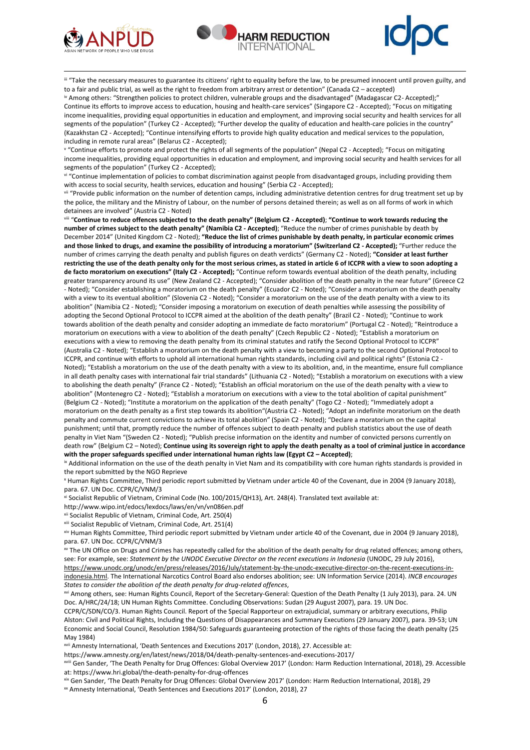

**.** 





III "Take the necessary measures to guarantee its citizens' right to equality before the law, to be presumed innocent until proven guilty, and to a fair and public trial, as well as the right to freedom from arbitrary arrest or detention" (Canada C2 – accepted) iv Among others: "Strengthen policies to protect children, vulnerable groups and the disadvantaged" (Madagascar C2- Accepted);" Continue its efforts to improve access to education, housing and health-care services" (Singapore C2 - Accepted); "Focus on mitigating income inequalities, providing equal opportunities in education and employment, and improving social security and health services for all segments of the population" (Turkey C2 - Accepted); "Further develop the quality of education and health-care policies in the country" (Kazakhstan C2 - Accepted); "Continue intensifying efforts to provide high quality education and medical services to the population, including in remote rural areas" (Belarus C2 - Accepted);

v "Continue efforts to promote and protect the rights of all segments of the population" (Nepal C2 - Accepted); "Focus on mitigating income inequalities, providing equal opportunities in education and employment, and improving social security and health services for all segments of the population" (Turkey C2 - Accepted);

vi "Continue implementation of policies to combat discrimination against people from disadvantaged groups, including providing them with access to social security, health services, education and housing" (Serbia C2 - Accepted);

vii "Provide public information on the number of detention camps, including administrative detention centres for drug treatment set up by the police, the military and the Ministry of Labour, on the number of persons detained therein; as well as on all forms of work in which detainees are involved" (Austria C2 - Noted)

viii "**Continue to reduce offences subjected to the death penalty" (Belgium C2 - Accepted)**; **"Continue to work towards reducing the number of crimes subject to the death penalty" (Namibia C2 - Accepted)**; "Reduce the number of crimes punishable by death by December 2014" (United Kingdom C2 - Noted); **"Reduce the list of crimes punishable by death penalty, in particular economic crimes and those linked to drugs, and examine the possibility of introducing a moratorium" (Switzerland C2 - Accepted);** "Further reduce the number of crimes carrying the death penalty and publish figures on death verdicts" (Germany C2 - Noted); **"Consider at least further restricting the use of the death penalty only for the most serious crimes, as stated in article 6 of ICCPR with a view to soon adopting a de facto moratorium on executions" (Italy C2 - Accepted);** "Continue reform towards eventual abolition of the death penalty, including greater transparency around its use" (New Zealand C2 - Accepted); "Consider abolition of the death penalty in the near future" (Greece C2 - Noted); "Consider establishing a moratorium on the death penalty" (Ecuador C2 - Noted); "Consider a moratorium on the death penalty with a view to its eventual abolition" (Slovenia C2 - Noted); "Consider a moratorium on the use of the death penalty with a view to its abolition" (Namibia C2 - Noted); "Consider imposing a moratorium on execution of death penalties while assessing the possibility of adopting the Second Optional Protocol to ICCPR aimed at the abolition of the death penalty" (Brazil C2 - Noted); "Continue to work towards abolition of the death penalty and consider adopting an immediate de facto moratorium" (Portugal C2 - Noted); "Reintroduce a moratorium on executions with a view to abolition of the death penalty" (Czech Republic C2 - Noted); "Establish a moratorium on executions with a view to removing the death penalty from its criminal statutes and ratify the Second Optional Protocol to ICCPR" (Australia C2 - Noted); "Establish a moratorium on the death penalty with a view to becoming a party to the second Optional Protocol to ICCPR, and continue with efforts to uphold all international human rights standards, including civil and political rights" (Estonia C2 - Noted); "Establish a moratorium on the use of the death penalty with a view to its abolition, and, in the meantime, ensure full compliance in all death penalty cases with international fair trial standards" (Lithuania C2 - Noted); "Establish a moratorium on executions with a view to abolishing the death penalty" (France C2 - Noted); "Establish an official moratorium on the use of the death penalty with a view to abolition" (Montenegro C2 - Noted); "Establish a moratorium on executions with a view to the total abolition of capital punishment" (Belgium C2 - Noted); "Institute a moratorium on the application of the death penalty" (Togo C2 - Noted); "Immediately adopt a moratorium on the death penalty as a first step towards its abolition"(Austria C2 - Noted); "Adopt an indefinite moratorium on the death penalty and commute current convictions to achieve its total abolition" (Spain C2 - Noted); "Declare a moratorium on the capital punishment; until that, promptly reduce the number of offences subject to death penalty and publish statistics about the use of death penalty in Viet Nam "(Sweden C2 - Noted); "Publish precise information on the identity and number of convicted persons currently on death row" (Belgium C2 – Noted); **Continue using its sovereign right to apply the death penalty as a tool of criminal justice in accordance with the proper safeguards specified under international human rights law (Egypt C2 – Accepted)**;

**K** Additional information on the use of the death penalty in Viet Nam and its compatibility with core human rights standards is provided in the report submitted by the NGO Reprieve

<sup>x</sup> Human Rights Committee, Third periodic report submitted by Vietnam under article 40 of the Covenant, due in 2004 (9 January 2018), para. 67. UN Doc. CCPR/C/VNM/3

xi Socialist Republic of Vietnam, Criminal Code (No. 100/2015/QH13), Art. 248(4). Translated text available at:

http://www.wipo.int/edocs/lexdocs/laws/en/vn/vn086en.pdf

xii Socialist Republic of Vietnam, Criminal Code, Art. 250(4)

xiii Socialist Republic of Vietnam, Criminal Code, Art. 251(4)

xiv Human Rights Committee, Third periodic report submitted by Vietnam under article 40 of the Covenant, due in 2004 (9 January 2018), para. 67. UN Doc. CCPR/C/VNM/3

x The UN Office on Drugs and Crimes has repeatedly called for the abolition of the death penalty for drug related offences; among others, see: For example, see: Statement by the UNODC Executive Director on the recent executions in Indonesia (UNODC, 29 July 2016),

[https://www.unodc.org/unodc/en/press/releases/2016/July/statement-by-the-unodc-executive-director-on-the-recent-executions-in](https://www.unodc.org/unodc/en/press/releases/2016/July/statement-by-the-unodc-executive-director-on-the-recent-executions-in-indonesia.html)[indonesia.html.](https://www.unodc.org/unodc/en/press/releases/2016/July/statement-by-the-unodc-executive-director-on-the-recent-executions-in-indonesia.html) The International Narcotics Control Board also endorses abolition; see: UN Information Service (2014). *INCB encourages States to consider the abolition of the death penalty for drug-related offences*,

xvi Among others, see: Human Rights Council, Report of the Secretary-General: Question of the Death Penalty (1 July 2013), para. 24. UN Doc. A/HRC/24/18; UN Human Rights Committee. Concluding Observations: Sudan (29 August 2007), para. 19. UN Doc.

CCPR/C/SDN/CO/3. Human Rights Council. Report of the Special Rapporteur on extrajudicial, summary or arbitrary executions, Philip Alston: Civil and Political Rights, Including the Questions of Disappearances and Summary Executions (29 January 2007), para. 39-53; UN Economic and Social Council, Resolution 1984/50: Safeguards guaranteeing protection of the rights of those facing the death penalty (25 May 1984)

xvii Amnesty International, 'Death Sentences and Executions 2017' (London, 2018), 27. Accessible at:

https://www.amnesty.org/en/latest/news/2018/04/death-penalty-sentences-and-executions-2017/

xviii Gen Sander, 'The Death Penalty for Drug Offences: Global Overview 2017' (London: Harm Reduction International, 2018), 29. Accessible at: https://www.hri.global/the-death-penalty-for-drug-offences

xix Gen Sander, 'The Death Penalty for Drug Offences: Global Overview 2017' (London: Harm Reduction International, 2018), 29

xx Amnesty International, 'Death Sentences and Executions 2017' (London, 2018), 27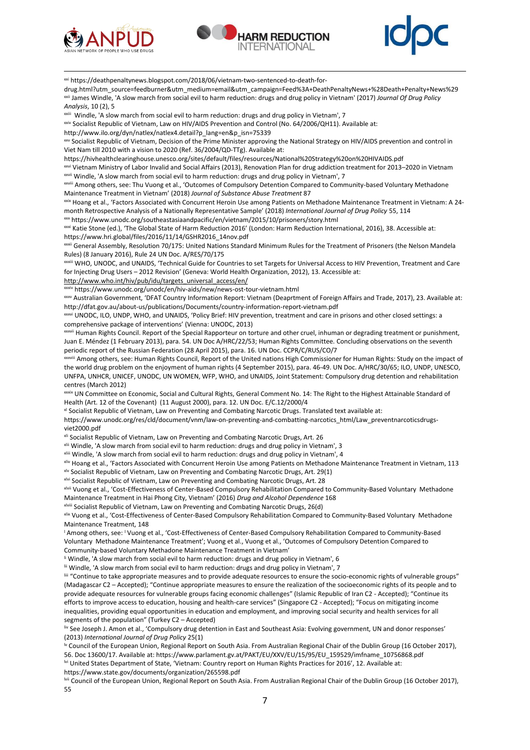

**.** 





xxi https://deathpenaltynews.blogspot.com/2018/06/vietnam-two-sentenced-to-death-for-

drug.html?utm\_source=feedburner&utm\_medium=email&utm\_campaign=Feed%3A+DeathPenaltyNews+%28Death+Penalty+News%29 xxii James Windle, 'A slow march from social evil to harm reduction: drugs and drug policy in Vietnam' (2017) *Journal Of Drug Policy Analysis*, 10 (2), 5

<sup>xxiii</sup> Windle, 'A slow march from social evil to harm reduction: drugs and drug policy in Vietnam', 7

xxiv Socialist Republic of Vietnam, Law on HIV/AIDS Prevention and Control (No. 64/2006/QH11). Available at:

http://www.ilo.org/dyn/natlex/natlex4.detail?p\_lang=en&p\_isn=75339

xxv Socialist Republic of Vietnam, Decision of the Prime Minister approving the National Strategy on HIV/AIDS prevention and control in Viet Nam till 2010 with a vision to 2020 (Ref. 36/2004/QD-TTg). Available at:

https://hivhealthclearinghouse.unesco.org/sites/default/files/resources/National%20Strategy%20on%20HIVAIDS.pdf

xxvi Vietnam Ministry of Labor Invalid and Social Affairs (2013), Renovation Plan for drug addiction treatment for 2013–2020 in Vietnam xxvii Windle, 'A slow march from social evil to harm reduction: drugs and drug policy in Vietnam', 7

xxviii Among others, see: Thu Vuong et al., 'Outcomes of Compulsory Detention Compared to Community-based Voluntary Methadone Maintenance Treatment in Vietnam' (2018) *Journal of Substance Abuse Treatment* 87

xxix Hoang et al., 'Factors Associated with Concurrent Heroin Use among Patients on Methadone Maintenance Treatment in Vietnam: A 24 month Retrospective Analysis of a Nationally Representative Sample' (2018) *International Journal of Drug Policy* 55, 114

xxx https://www.unodc.org/southeastasiaandpacific/en/vietnam/2015/10/prisoners/story.html

xxxi Katie Stone (ed.), 'The Global State of Harm Reduction 2016' (London: Harm Reduction International, 2016), 38. Accessible at: https://www.hri.global/files/2016/11/14/GSHR2016\_14nov.pdf

xxxii General Assembly, Resolution 70/175: United Nations Standard Minimum Rules for the Treatment of Prisoners (the Nelson Mandela Rules) (8 January 2016), Rule 24 UN Doc. A/RES/70/175

xxxiii WHO, UNODC, and UNAIDS, 'Technical Guide for Countries to set Targets for Universal Access to HIV Prevention, Treatment and Care for Injecting Drug Users – 2012 Revision' (Geneva: World Health Organization, 2012), 13. Accessible at:

[http://www.who.int/hiv/pub/idu/targets\\_universal\\_access/en/](http://www.who.int/hiv/pub/idu/targets_universal_access/en/)

iv https://www.unodc.org/unodc/en/hiv-aids/new/news-ost-tour-vietnam.html

xxxv Australian Government, 'DFAT Country Information Report: Vietnam (Deaprtment of Foreign Affairs and Trade, 2017), 23. Available at: http://dfat.gov.au/about-us/publications/Documents/country-information-report-vietnam.pdf

xxxvi UNODC, ILO, UNDP, WHO, and UNAIDS, 'Policy Brief: HIV prevention, treatment and care in prisons and other closed settings: a comprehensive package of interventions' (Vienna: UNODC, 2013)

xxxvii Human Rights Council. Report of the Special Rapporteur on torture and other cruel, inhuman or degrading treatment or punishment, Juan E. Méndez (1 February 2013), para. 54. UN Doc A/HRC/22/53; Human Rights Committee. Concluding observations on the seventh periodic report of the Russian Federation (28 April 2015), para. 16. UN Doc. CCPR/C/RUS/CO/7

xxxviii Among others, see: Human Rights Council, Report of the United nations High Commissioner for Human Rights: Study on the impact of the world drug problem on the enjoyment of human rights (4 September 2015), para. 46-49. UN Doc. A/HRC/30/65; ILO, UNDP, UNESCO, UNFPA, UNHCR, UNICEF, UNODC, UN WOMEN, WFP, WHO, and UNAIDS, Joint Statement: Compulsory drug detention and rehabilitation centres (March 2012)

xxxix UN Committee on Economic, Social and Cultural Rights, General Comment No. 14: The Right to the Highest Attainable Standard of Health (Art. 12 of the Covenant) (11 August 2000), para. 12. UN Doc. E/C.12/2000/4

xl Socialist Republic of Vietnam, Law on Preventing and Combating Narcotic Drugs. Translated text available at:

https://www.unodc.org/res/cld/document/vnm/law-on-preventing-and-combatting-narcotics\_html/Law\_preventnarcoticsdrugsviet2000.pdf

xli Socialist Republic of Vietnam, Law on Preventing and Combating Narcotic Drugs, Art. 26

xlii Windle, 'A slow march from social evil to harm reduction: drugs and drug policy in Vietnam', 3

xliii Windle, 'A slow march from social evil to harm reduction: drugs and drug policy in Vietnam', 4

xliv Hoang et al., 'Factors Associated with Concurrent Heroin Use among Patients on Methadone Maintenance Treatment in Vietnam, 113 xlv Socialist Republic of Vietnam, Law on Preventing and Combating Narcotic Drugs, Art. 29(1)

xlvi Socialist Republic of Vietnam, Law on Preventing and Combating Narcotic Drugs, Art. 28

xlvii Vuong et al., 'Cost-Effectiveness of Center-Based Compulsory Rehabilitation Compared to Community-Based Voluntary Methadone Maintenance Treatment in Hai Phong City, Vietnam' (2016) *Drug and Alcohol Dependence* 168

xlviii Socialist Republic of Vietnam, Law on Preventing and Combating Narcotic Drugs, 26(d)

xlix Vuong et al., 'Cost-Effectiveness of Center-Based Compulsory Rehabilitation Compared to Community-Based Voluntary Methadone Maintenance Treatment, 148

<sup>1</sup> Among others, see: <sup>1</sup> Vuong et al., 'Cost-Effectiveness of Center-Based Compulsory Rehabilitation Compared to Community-Based Voluntary Methadone Maintenance Treatment'; Vuong et al., Vuong et al., 'Outcomes of Compulsory Detention Compared to Community-based Voluntary Methadone Maintenance Treatment in Vietnam'

<sup>Ii</sup> Windle, 'A slow march from social evil to harm reduction: drugs and drug policy in Vietnam', 6

lii Windle, 'A slow march from social evil to harm reduction: drugs and drug policy in Vietnam', 7

liii "Continue to take appropriate measures and to provide adequate resources to ensure the socio-economic rights of vulnerable groups" (Madagascar C2 – Accepted); "Continue appropriate measures to ensure the realization of the socioeconomic rights of its people and to provide adequate resources for vulnerable groups facing economic challenges" (Islamic Republic of Iran C2 - Accepted); "Continue its efforts to improve access to education, housing and health-care services" (Singapore C2 - Accepted); "Focus on mitigating income inequalities, providing equal opportunities in education and employment, and improving social security and health services for all segments of the population" (Turkey C2 – Accepted)

liv See Joseph J. Amon et al., 'Compulsory drug detention in East and Southeast Asia: Evolving government, UN and donor responses' (2013) *International Journal of Drug Policy* 25(1)

lv Council of the European Union, Regional Report on South Asia. From Australian Regional Chair of the Dublin Group (16 October 2017), 56. Doc 13600/17. Available at: https://www.parlament.gv.at/PAKT/EU/XXV/EU/15/95/EU\_159529/imfname\_10756868.pdf

lvi United States Department of State, 'Vietnam: Country report on Human Rights Practices for 2016', 12. Available at: https://www.state.gov/documents/organization/265598.pdf

lvii Council of the European Union, Regional Report on South Asia. From Australian Regional Chair of the Dublin Group (16 October 2017), 55